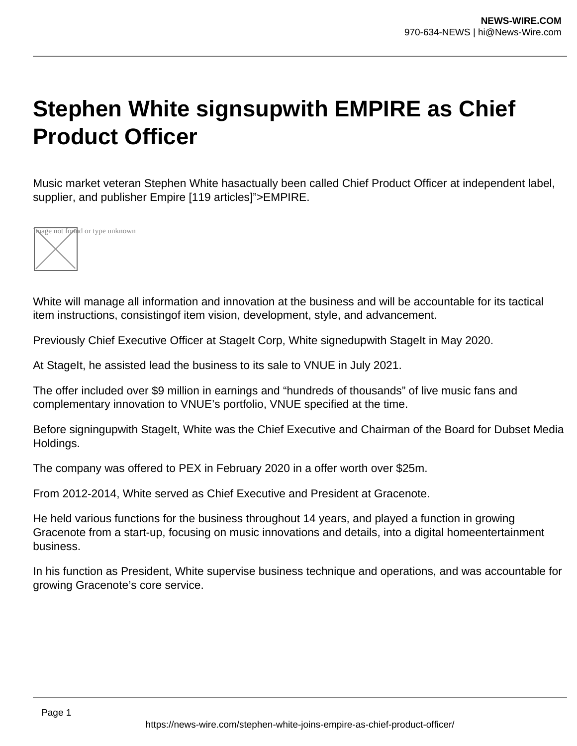## **Stephen White signsupwith EMPIRE as Chief Product Officer**

Music market veteran Stephen White hasactually been called Chief Product Officer at independent label, supplier, and publisher Empire [119 articles]">EMPIRE.



White will manage all information and innovation at the business and will be accountable for its tactical item instructions, consistingof item vision, development, style, and advancement.

Previously Chief Executive Officer at StageIt Corp, White signedupwith StageIt in May 2020.

At StageIt, he assisted lead the business to its sale to VNUE in July 2021.

The offer included over \$9 million in earnings and "hundreds of thousands" of live music fans and complementary innovation to VNUE's portfolio, VNUE specified at the time.

Before signingupwith StageIt, White was the Chief Executive and Chairman of the Board for Dubset Media Holdings.

The company was offered to PEX in February 2020 in a offer worth over \$25m.

From 2012-2014, White served as Chief Executive and President at Gracenote.

He held various functions for the business throughout 14 years, and played a function in growing Gracenote from a start-up, focusing on music innovations and details, into a digital homeentertainment business.

In his function as President, White supervise business technique and operations, and was accountable for growing Gracenote's core service.